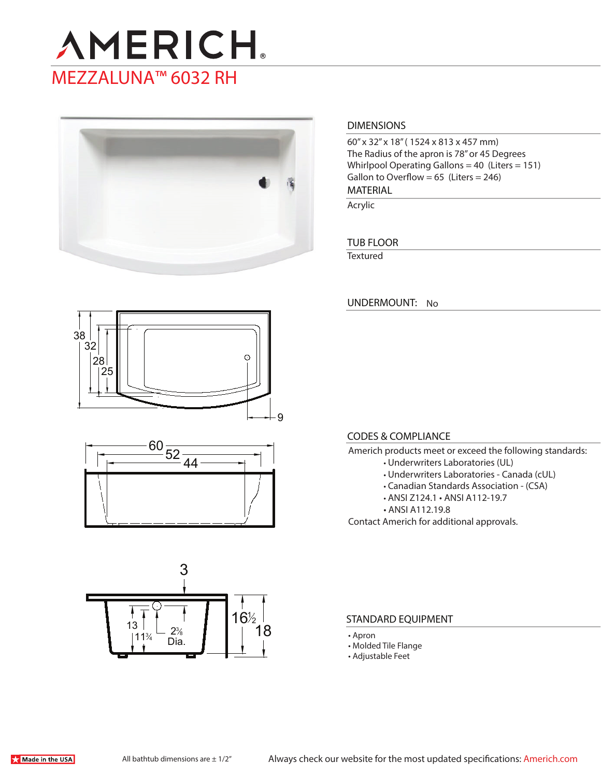



# **DIMENSIONS**

60" x 32" x 18" ( 1524 x 813 x 457 mm) The Radius of the apron is 78" or 45 Degrees Whirlpool Operating Gallons = 40 (Liters = 151) Gallon to Overflow =  $65$  (Liters = 246)

**MATERIAL** 

Acrylic

## **TUB FLOOR**

**Textured** 

**UNDERMOUNT:** No







#### **CODES & COMPLIANCE**

- Americh products meet or exceed the following standards:
	- Underwriters Laboratories (UL)
	- Underwriters Laboratories Canada (cUL)
	- Canadian Standards Association (CSA)
	- ANSI Z124.1 ANSI A112-19.7
	- ANSI A112.19.8

Contact Americh for additional approvals.

#### **STANDARD EQUIPMENT**

- Apron
- Molded Tile Flange
- Adjustable Feet